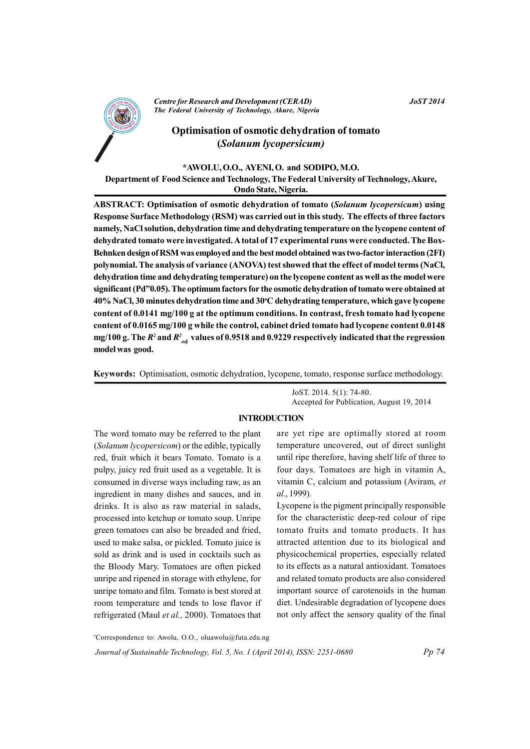

**Centre for Research and Development (CERAD)** The Federal University of Technology, Akure, Nigeria

# Optimisation of osmotic dehydration of tomato (Solanum lycopersicum)

## \*AWOLU, O.O., AYENI, O. and SODIPO, M.O.

Department of Food Science and Technology, The Federal University of Technology, Akure, Ondo State, Nigeria.

**ABSTRACT: Optimisation of osmotic dehydration of tomato (Solanum lycopersicum) using** Response Surface Methodology (RSM) was carried out in this study. The effects of three factors namely, NaCl solution, dehydration time and dehydrating temperature on the lycopene content of dehydrated tomato were investigated. A total of 17 experimental runs were conducted. The Box-Behnken design of RSM was employed and the best model obtained was two-factor interaction (2FI) polynomial. The analysis of variance (ANOVA) test showed that the effect of model terms (NaCl, dehydration time and dehydrating temperature) on the lycopene content as well as the model were significant (Pd"0.05). The optimum factors for the osmotic dehydration of tomato were obtained at 40% NaCl, 30 minutes dehydration time and 30°C dehydrating temperature, which gave lycopene content of 0.0141 mg/100 g at the optimum conditions. In contrast, fresh tomato had lycopene content of 0.0165 mg/100 g while the control, cabinet dried tomato had lycopene content 0.0148 mg/100 g. The  $R^2$  and  $R^2$  and  $R^2$  values of 0.9518 and 0.9229 respectively indicated that the regression model was good.

Keywords: Optimisation, osmotic dehydration, lycopene, tomato, response surface methodology.

JoST. 2014. 5(1): 74-80. Accepted for Publication, August 19, 2014

## **INTRODUCTION**

The word tomato may be referred to the plant (Solanum lycopersicom) or the edible, typically red, fruit which it bears Tomato. Tomato is a pulpy, juicy red fruit used as a vegetable. It is consumed in diverse ways including raw, as an ingredient in many dishes and sauces, and in drinks. It is also as raw material in salads, processed into ketchup or tomato soup. Unripe green tomatoes can also be breaded and fried, used to make salsa, or pickled. Tomato juice is sold as drink and is used in cocktails such as the Bloody Mary. Tomatoes are often picked unripe and ripened in storage with ethylene, for unripe tomato and film. Tomato is best stored at room temperature and tends to lose flavor if refrigerated (Maul et al., 2000). Tomatoes that

are yet ripe are optimally stored at room temperature uncovered, out of direct sunlight until ripe therefore, having shelf life of three to four days. Tomatoes are high in vitamin A, vitamin C, calcium and potassium (Aviram, et al., 1999).

Lycopene is the pigment principally responsible for the characteristic deep-red colour of ripe tomato fruits and tomato products. It has attracted attention due to its biological and physicochemical properties, especially related to its effects as a natural antioxidant. Tomatoes and related tomato products are also considered important source of carotenoids in the human diet. Undesirable degradation of lycopene does not only affect the sensory quality of the final

 $Pp 74$ 

\*Correspondence to: Awolu, O.O., oluawolu@futa.edu.ng

Journal of Sustainable Technology, Vol. 5, No. 1 (April 2014), ISSN: 2251-0680

**JoST 2014**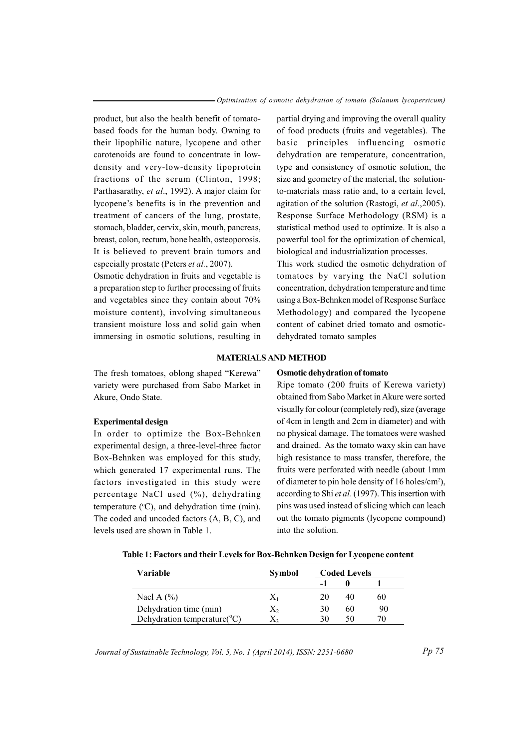product, but also the health benefit of tomatobased foods for the human body. Owning to their lipophilic nature, lycopene and other carotenoids are found to concentrate in lowdensity and very-low-density lipoprotein fractions of the serum (Clinton, 1998; Parthasarathy, et al., 1992). A major claim for lycopene's benefits is in the prevention and treatment of cancers of the lung, prostate, stomach, bladder, cervix, skin, mouth, pancreas, breast, colon, rectum, bone health, osteoporosis. It is believed to prevent brain tumors and especially prostate (Peters et al., 2007).

Osmotic dehydration in fruits and vegetable is a preparation step to further processing of fruits and vegetables since they contain about 70% moisture content), involving simultaneous transient moisture loss and solid gain when immersing in osmotic solutions, resulting in partial drying and improving the overall quality of food products (fruits and vegetables). The basic principles influencing osmotic dehydration are temperature, concentration, type and consistency of osmotic solution, the size and geometry of the material, the solutionto-materials mass ratio and, to a certain level, agitation of the solution (Rastogi, et al., 2005). Response Surface Methodology (RSM) is a statistical method used to optimize. It is also a powerful tool for the optimization of chemical. biological and industrialization processes.

This work studied the osmotic dehydration of tomatoes by varying the NaCl solution concentration, dehydration temperature and time using a Box-Behnken model of Response Surface Methodology) and compared the lycopene content of cabinet dried tomato and osmoticdehydrated tomato samples

## **MATERIALS AND METHOD**

The fresh tomatoes, oblong shaped "Kerewa" variety were purchased from Sabo Market in Akure, Ondo State.

## **Experimental design**

In order to optimize the Box-Behnken experimental design, a three-level-three factor Box-Behnken was employed for this study, which generated 17 experimental runs. The factors investigated in this study were percentage NaCl used (%), dehydrating temperature  $(^{\circ}C)$ , and dehydration time (min). The coded and uncoded factors (A, B, C), and levels used are shown in Table 1.

#### **Osmotic dehydration of tomato**

Ripe tomato (200 fruits of Kerewa variety) obtained from Sabo Market in Akure were sorted visually for colour (completely red), size (average of 4cm in length and 2cm in diameter) and with no physical damage. The tomatoes were washed and drained. As the tomato waxy skin can have high resistance to mass transfer, therefore, the fruits were perforated with needle (about 1mm of diameter to pin hole density of 16 holes/cm<sup>2</sup>), according to Shi et al. (1997). This insertion with pins was used instead of slicing which can leach out the tomato pigments (lycopene compound) into the solution.

| Table 1: Factors and their Levels for Box-Behnken Design for Lycopene content |  |  |
|-------------------------------------------------------------------------------|--|--|
|-------------------------------------------------------------------------------|--|--|

| Variable                                 | Symbol | <b>Coded Levels</b> |    |    |
|------------------------------------------|--------|---------------------|----|----|
|                                          |        |                     |    |    |
| Nacl A $(\% )$                           | $X_1$  | 20                  | 40 | 60 |
| Dehydration time (min)                   | Χ,     | 30                  | 60 | 90 |
| Dehydration temperature( ${}^{\circ}$ C) |        | 30                  | 50 |    |

Journal of Sustainable Technology, Vol. 5, No. 1 (April 2014), ISSN: 2251-0680

 $Pp 75$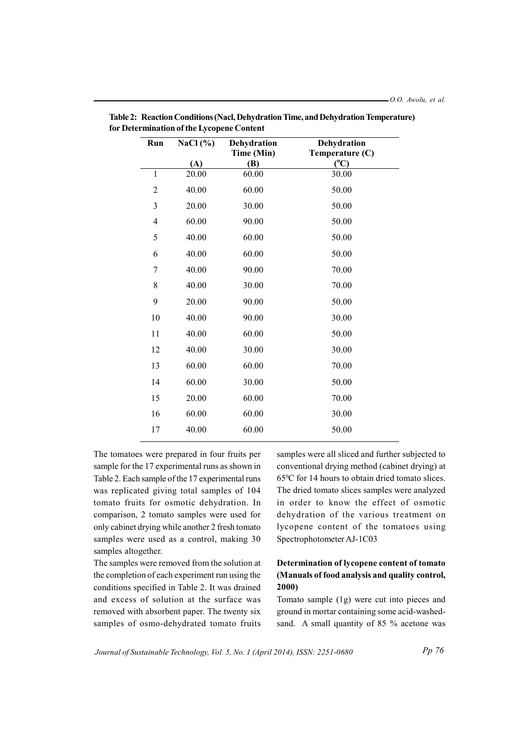| Run            | NaCl $(\% )$ | Dehydration       | Dehydration                      |
|----------------|--------------|-------------------|----------------------------------|
|                | (A)          | Time (Min)<br>(B) | Temperature (C)<br>$(^{\circ}C)$ |
| $\mathbf{1}$   | 20.00        | 60.00             | 30.00                            |
| $\overline{2}$ | 40.00        | 60.00             | 50.00                            |
| 3              | 20.00        | 30.00             | 50.00                            |
| $\overline{4}$ | 60.00        | 90.00             | 50.00                            |
| 5              | 40.00        | 60.00             | 50.00                            |
| 6              | 40.00        | 60.00             | 50.00                            |
| 7              | 40.00        | 90.00             | 70.00                            |
| 8              | 40.00        | 30.00             | 70.00                            |
| 9              | 20.00        | 90.00             | 50.00                            |
| 10             | 40.00        | 90.00             | 30.00                            |
| 11             | 40.00        | 60.00             | 50.00                            |
| 12             | 40.00        | 30.00             | 30.00                            |
| 13             | 60.00        | 60.00             | 70.00                            |
| 14             | 60.00        | 30.00             | 50.00                            |
| 15             | 20.00        | 60.00             | 70.00                            |
| 16             | 60.00        | 60.00             | 30.00                            |
| 17             | 40.00        | 60.00             | 50.00                            |

Table 2: Reaction Conditions (Nacl, Dehydration Time, and Dehydration Temperature) for Determination of the Lycopene Content

The tomatoes were prepared in four fruits per sample for the 17 experimental runs as shown in Table 2. Each sample of the 17 experimental runs was replicated giving total samples of 104 tomato fruits for osmotic dehydration. In comparison, 2 tomato samples were used for only cabinet drying while another 2 fresh tomato samples were used as a control, making 30 samples altogether.

The samples were removed from the solution at the completion of each experiment run using the conditions specified in Table 2. It was drained and excess of solution at the surface was removed with absorbent paper. The twenty six samples of osmo-dehydrated tomato fruits

samples were all sliced and further subjected to conventional drying method (cabinet drying) at 65°C for 14 hours to obtain dried tomato slices. The dried tomato slices samples were analyzed in order to know the effect of osmotic dehydration of the various treatment on lycopene content of the tomatoes using Spectrophotometer AJ-1C03

# Determination of lycopene content of tomato (Manuals of food analysis and quality control,  $2000$

Tomato sample (1g) were cut into pieces and ground in mortar containing some acid-washedsand. A small quantity of 85 % acetone was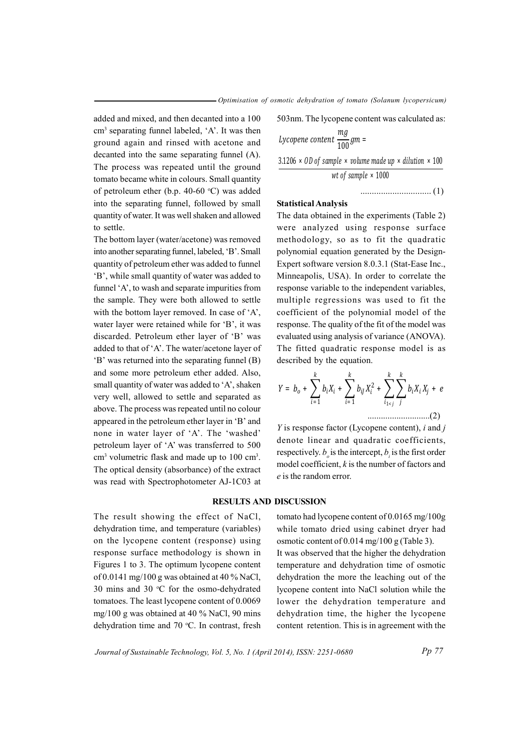added and mixed, and then decanted into a 100 cm<sup>3</sup> separating funnel labeled, 'A'. It was then ground again and rinsed with acetone and decanted into the same separating funnel  $(A)$ . The process was repeated until the ground tomato became white in colours. Small quantity of petroleum ether (b.p. 40-60  $^{\circ}$ C) was added into the separating funnel, followed by small quantity of water. It was well shaken and allowed to settle.

The bottom layer (water/acetone) was removed into another separating funnel, labeled, 'B'. Small quantity of petroleum ether was added to funnel 'B', while small quantity of water was added to funnel 'A', to wash and separate impurities from the sample. They were both allowed to settle with the bottom layer removed. In case of  $A$ , water layer were retained while for 'B', it was discarded. Petroleum ether layer of 'B' was added to that of 'A'. The water/acetone layer of 'B' was returned into the separating funnel  $(B)$ and some more petroleum ether added. Also, small quantity of water was added to 'A', shaken very well, allowed to settle and separated as above. The process was repeated until no colour appeared in the petroleum ether layer in 'B' and none in water layer of 'A'. The 'washed' petroleum layer of 'A' was transferred to 500  $\text{cm}^3$  volumetric flask and made up to 100 cm<sup>3</sup>. The optical density (absorbance) of the extract was read with Spectrophotometer AJ-1C03 at

The result showing the effect of NaCl, dehydration time, and temperature (variables) on the lycopene content (response) using response surface methodology is shown in Figures 1 to 3. The optimum lycopene content of 0.0141 mg/100 g was obtained at 40 % NaCl. 30 mins and 30  $\degree$ C for the osmo-dehydrated tomatoes. The least lycopene content of 0.0069 mg/100 g was obtained at 40 % NaCl, 90 mins dehydration time and 70 °C. In contrast, fresh

503 nm. The lycopene content was calculated as:

Then

\nLycopene content 
$$
\frac{mg}{100}gm =
$$

\nA).

\n3.1206 × 0D of sample × volume made up × dilution × 100

\nhttp://www.male">http://www.male">http://www.male up × dilution × 100

### .. .. ..... .. ... .. ..... .. ... .. ... ( )1

## $Statistical Analysis$

The data obtained in the experiments (Table 2) were analyzed using response surface methodology, so as to fit the quadratic polynomial equation generated by the Design-Expert software version 8.0.3.1 (Stat-Ease Inc., Minneapolis, USA). In order to correlate the response variable to the independent variables, multiple regressions was used to fit the coefficient of the polynomial model of the response. The quality of the fit of the model was evaluated using analysis of variance (ANOVA). The fitted quadratic response model is as described by the equation.

$$
Y = b_o + \sum_{i=1}^{k} b_i X_i + \sum_{i=1}^{k} b_{ij} X_i^2 + \sum_{i_{1 < j}}^{k} \sum_{j}^{k} b_i X_i X_j + e
$$

*Y* is response factor (Lycopene content), *i* and *j* denote linear and quadratic coefficients, respectively.  $b_{\mu}$  is the intercept,  $b_{\mu}$  is the first order model coefficient,  $k$  is the number of factors and *e* is the random error.

## **RESULTS AND DISCUSSION**

tomato had lycopene content of  $0.0165$  mg/ $100g$ while tomato dried using cabinet dryer had osmotic content of  $0.014$  mg/ $100$  g (Table 3). It was observed that the higher the dehydration temperature and dehydration time of osmotic dehydration the more the leaching out of the lycopene content into NaCl solution while the lower the dehydration temperature and dehydration time, the higher the lycopene content retention. This is in agreement with the

Journal of Sustainable Technology, Vol. 5, No. 1 (April 2014), ISSN: 2251-0680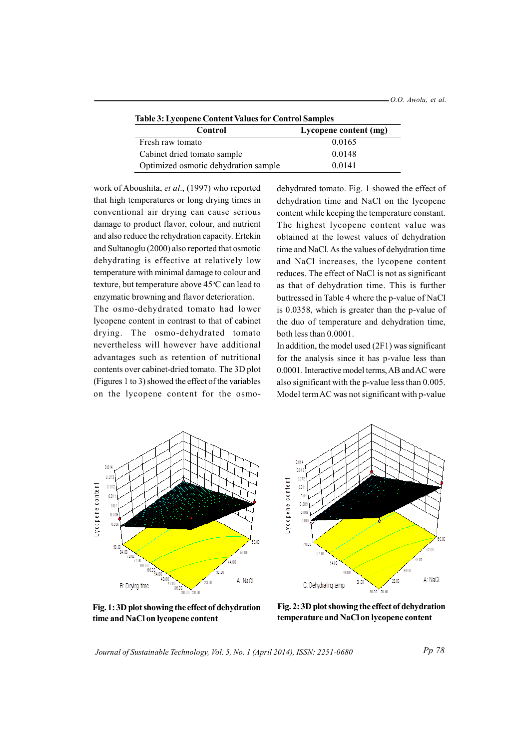| Table 3: Lycopene Content Values for Control Samples |  |  |
|------------------------------------------------------|--|--|
|                                                      |  |  |

| Control                              | Lycopene content (mg) |
|--------------------------------------|-----------------------|
| Fresh raw tomato                     | 0.0165                |
| Cabinet dried tomato sample          | 0.0148                |
| Optimized osmotic dehydration sample | 0 0 1 4 1             |

work of Aboushita, et al., (1997) who reported that high temperatures or long drying times in conventional air drying can cause serious damage to product flavor, colour, and nutrient and also reduce the rehydration capacity. Ertekin and Sultanoglu (2000) also reported that osmotic dehydrating is effective at relatively low temperature with minimal damage to colour and texture, but temperature above 45°C can lead to enzymatic browning and flavor deterioration.

The osmo-dehydrated tomato had lower lycopene content in contrast to that of cabinet drying. The osmo-dehydrated tomato nevertheless will however have additional advantages such as retention of nutritional contents over cabinet-dried tomato. The 3D plot (Figures 1 to 3) showed the effect of the variables on the lycopene content for the osmo-

dehydrated tomato. Fig. 1 showed the effect of dehydration time and NaCl on the lycopene content while keeping the temperature constant. The highest lycopene content value was obtained at the lowest values of dehydration time and NaCl. As the values of dehydration time and NaCl increases, the lycopene content reduces. The effect of NaCl is not as significant as that of dehydration time. This is further buttressed in Table 4 where the p-value of NaCl is  $0.0358$ , which is greater than the p-value of the duo of temperature and dehydration time, both less than  $0.0001$ .

In addition, the model used  $(2F1)$  was significant for the analysis since it has p-value less than 0.0001. Interactive model terms, AB and AC were also significant with the p-value less than  $0.005$ . Model term AC was not significant with p-value





**Fig. 1:3D plot showing the effect of dehydration time** and **NaCl** on **lycopene** content

**Fig. 2: 3D plot showing the effect of dehydration tempe ar t ru e and N Ca l on ly oc p ne e co tn ent**

Journal of Sustainable Technology, Vol. 5, No. 1 (April 2014), ISSN: 2251-0680

*Pp* 78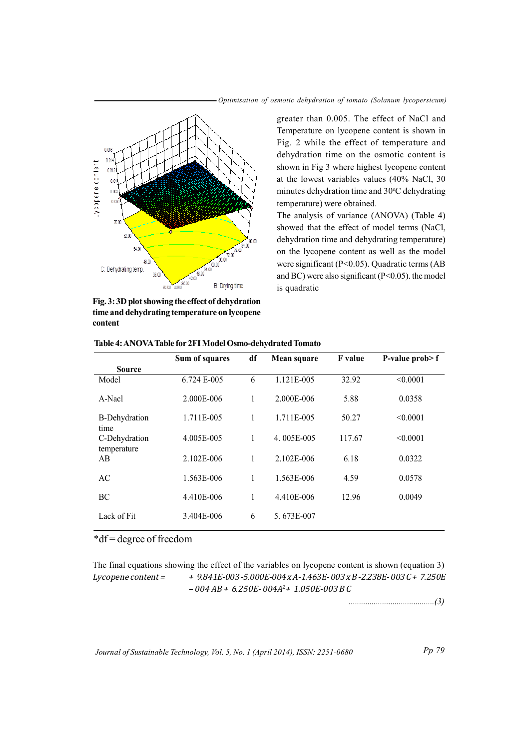



Fig. 3: 3D plot showing the effect of dehydration time and dehydrating temperature on lycopene content

greater than 0.005. The effect of NaCl and Temperature on lycopene content is shown in Fig. 2 while the effect of temperature and dehydration time on the osmotic content is shown in Fig 3 where highest lycopene content at the lowest variables values (40% NaCl, 30 minutes dehydration time and 30°C dehydrating temperature) were obtained.

The analysis of variance (ANOVA) (Table 4) showed that the effect of model terms (NaCl, dehydration time and dehydrating temperature) on the lycopene content as well as the model were significant ( $P<0.05$ ). Quadratic terms (AB and BC) were also significant ( $P < 0.05$ ). the model is quadratic

|                              | Sum of squares | dt | Mean square | F value | P-value prob> f |
|------------------------------|----------------|----|-------------|---------|-----------------|
| <b>Source</b>                |                |    |             |         |                 |
| Model                        | 6.724 E-005    | 6  | 1.121E-005  | 32.92   | < 0.0001        |
| A-Nacl                       | 2.000E-006     | 1  | 2.000E-006  | 5.88    | 0.0358          |
| <b>B-Dehydration</b><br>time | 1.711E-005     | 1  | 1.711E-005  | 50.27   | < 0.0001        |
| C-Dehydration<br>temperature | 4.005E-005     | 1  | 4.005E-005  | 117.67  | < 0.0001        |
| AB                           | 2.102E-006     | 1  | 2.102E-006  | 6.18    | 0.0322          |
| AC                           | 1.563E-006     | 1  | 1.563E-006  | 4.59    | 0.0578          |
| BC                           | 4.410E-006     | 1  | 4.410E-006  | 12.96   | 0.0049          |
| Lack of Fit                  | 3.404E-006     | 6  | 5.673E-007  |         |                 |
|                              |                |    |             |         |                 |

| Table 4: ANOVA Table for 2FI Model Osmo-dehydrated Tomato |  |
|-----------------------------------------------------------|--|
|-----------------------------------------------------------|--|

## \*df = degree of freedom

The final equations showing the effect of the variables on lycopene content is shown (equation 3) +  $9.841E-003 - 5.000E-004 \times A - 1.463E-003 \times B - 2.238E-003C + 7.250E$ Lycopene content =  $-004$  AB + 6.250E-004A<sup>2</sup> + 1.050E-003 B C

Journal of Sustainable Technology, Vol. 5, No. 1 (April 2014), ISSN: 2251-0680